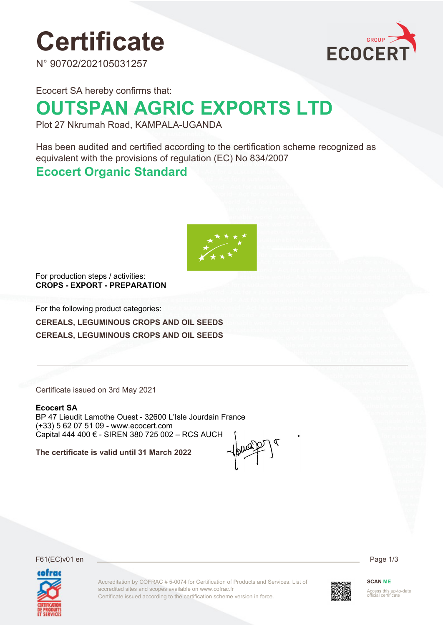# **Certificate**

N° 90702/202105031257



Ecocert SA hereby confirms that:

# **OUTSPAN AGRIC EXPORTS LTD**

Plot 27 Nkrumah Road, KAMPALA-UGANDA

Has been audited and certified according to the certification scheme recognized as equivalent with the provisions of regulation (EC) No 834/2007

### **Ecocert Organic Standard**



For production steps / activities: **CROPS - EXPORT - PREPARATION**

For the following product categories:

**CEREALS, LEGUMINOUS CROPS AND OIL SEEDS CEREALS, LEGUMINOUS CROPS AND OIL SEEDS**

Certificate issued on 3rd May 2021

#### **Ecocert SA**

BP 47 Lieudit Lamothe Ouest - 32600 L'Isle Jourdain France (+33) 5 62 07 51 09 - www.ecocert.com Capital 444 400 € - SIREN 380 725 002 – RCS AUCH

**The certificate is valid until 31 March 2022**

F61(EC)v01 en Page 1/3



Accreditation by COFRAC # 5-0074 for Certification of Products and Services. List of accredited sites and scopes available on www.cofrac.fr Certificate issued according to the certification scheme version in force.



**SCAN ME**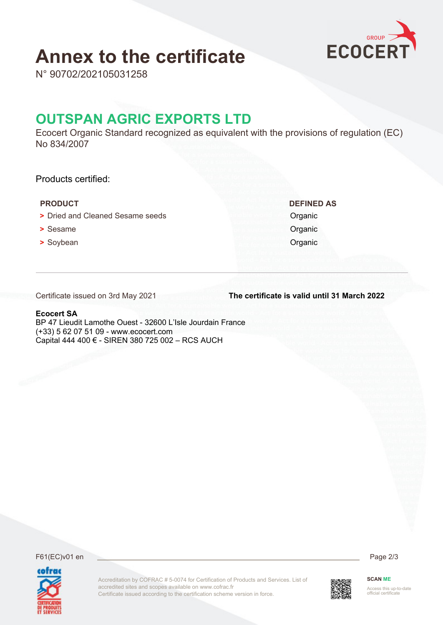## **Annex to the certificate**



N° 90702/202105031258

### **OUTSPAN AGRIC EXPORTS LTD**

Ecocert Organic Standard recognized as equivalent with the provisions of regulation (EC) No 834/2007

Products certified:

#### **PRODUCT DEFINED AS**

- **>** Dried and Cleaned Sesame seeds **Organic**
- **•** Sesame **Organic**
- **•** Soybean **Organic**

Certificate issued on 3rd May 2021

**The certificate is valid until 31 March 2022**

#### **Ecocert SA**

BP 47 Lieudit Lamothe Ouest - 32600 L'Isle Jourdain France (+33) 5 62 07 51 09 - www.ecocert.com Capital 444 400 € - SIREN 380 725 002 – RCS AUCH

F61(EC)v01 en Page 2/3





Accreditation by COFRAC # 5-0074 for Certification of Products and Services. List of accredited sites and scopes available on www.cofrac.fr Certificate issued according to the certification scheme version in force.



**SCAN ME** Access this up-to-date official certificate